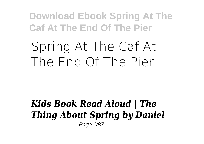# **Spring At The Caf At The End Of The Pier**

#### *Kids Book Read Aloud | The Thing About Spring by Daniel* Page 1/87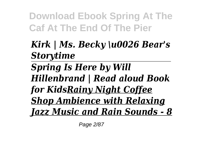# *Kirk | Ms. Becky \u0026 Bear's Storytime*

*Spring Is Here by Will Hillenbrand | Read aloud Book for KidsRainy Night Coffee Shop Ambience with Relaxing Jazz Music and Rain Sounds - 8*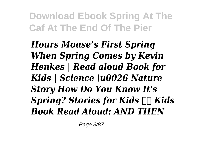*Hours Mouse's First Spring When Spring Comes by Kevin Henkes | Read aloud Book for Kids | Science \u0026 Nature Story How Do You Know It's Spring? Stories for Kids*  $\Box \Box K$ *ids Book Read Aloud: AND THEN*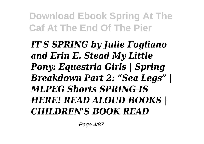*IT'S SPRING by Julie Fogliano and Erin E. Stead My Little Pony: Equestria Girls | Spring Breakdown Part 2: "Sea Legs" | MLPEG Shorts SPRING IS HERE! READ ALOUD BOOKS | CHILDREN'S BOOK READ*

Page 4/87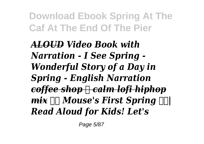*ALOUD Video Book with Narration - I See Spring - Wonderful Story of a Day in Spring - English Narration coffee shop ☕ calm lofi hiphop mix Mouse's First Spring | Read Aloud for Kids! Let's*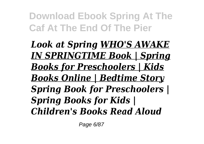*Look at Spring WHO'S AWAKE IN SPRINGTIME Book | Spring Books for Preschoolers | Kids Books Online | Bedtime Story Spring Book for Preschoolers | Spring Books for Kids | Children's Books Read Aloud*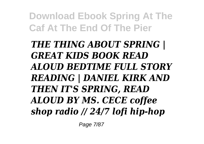*THE THING ABOUT SPRING | GREAT KIDS BOOK READ ALOUD BEDTIME FULL STORY READING | DANIEL KIRK AND THEN IT'S SPRING, READ ALOUD BY MS. CECE coffee shop radio // 24/7 lofi hip-hop*

Page 7/87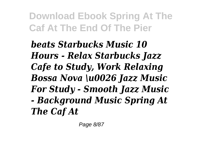*beats Starbucks Music 10 Hours - Relax Starbucks Jazz Cafe to Study, Work Relaxing Bossa Nova \u0026 Jazz Music For Study - Smooth Jazz Music - Background Music Spring At The Caf At*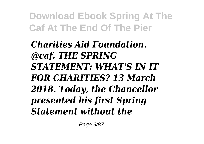*Charities Aid Foundation. @caf. THE SPRING STATEMENT: WHAT'S IN IT FOR CHARITIES? 13 March 2018. Today, the Chancellor presented his first Spring Statement without the*

Page 9/87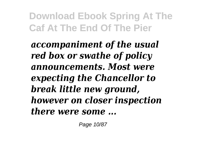*accompaniment of the usual red box or swathe of policy announcements. Most were expecting the Chancellor to break little new ground, however on closer inspection there were some ...*

Page 10/87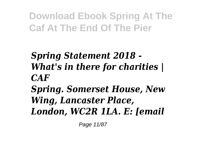# *Spring Statement 2018 - What's in there for charities | CAF*

# *Spring. Somerset House, New Wing, Lancaster Place, London, WC2R 1LA. E: [email*

Page 11/87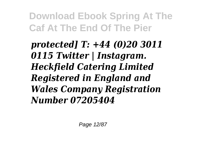*protected] T: +44 (0)20 3011 0115 Twitter | Instagram. Heckfield Catering Limited Registered in England and Wales Company Registration Number 07205404*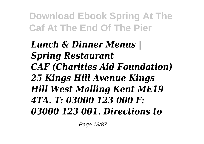# *Lunch & Dinner Menus | Spring Restaurant CAF (Charities Aid Foundation) 25 Kings Hill Avenue Kings Hill West Malling Kent ME19 4TA. T: 03000 123 000 F: 03000 123 001. Directions to*

Page 13/87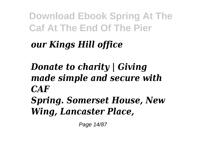# *our Kings Hill office*

# *Donate to charity | Giving made simple and secure with CAF Spring. Somerset House, New Wing, Lancaster Place,*

Page 14/87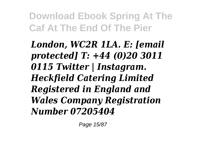*London, WC2R 1LA. E: [email protected] T: +44 (0)20 3011 0115 Twitter | Instagram. Heckfield Catering Limited Registered in England and Wales Company Registration Number 07205404*

Page 15/87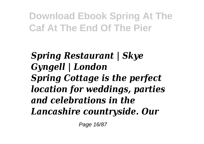*Spring Restaurant | Skye Gyngell | London Spring Cottage is the perfect location for weddings, parties and celebrations in the Lancashire countryside. Our*

Page 16/87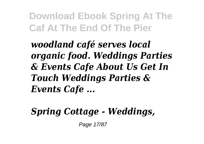*woodland café serves local organic food. Weddings Parties & Events Cafe About Us Get In Touch Weddings Parties & Events Cafe ...*

# *Spring Cottage - Weddings,*

Page 17/87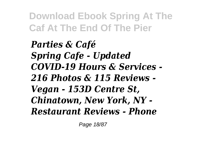*Parties & Café Spring Cafe - Updated COVID-19 Hours & Services - 216 Photos & 115 Reviews - Vegan - 153D Centre St, Chinatown, New York, NY - Restaurant Reviews - Phone*

Page 18/87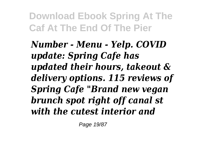*Number - Menu - Yelp. COVID update: Spring Cafe has updated their hours, takeout & delivery options. 115 reviews of Spring Cafe "Brand new vegan brunch spot right off canal st with the cutest interior and*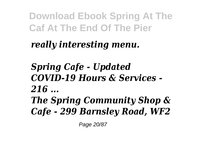# *really interesting menu.*

# *Spring Cafe - Updated COVID-19 Hours & Services - 216 ... The Spring Community Shop & Cafe - 299 Barnsley Road, WF2*

Page 20/87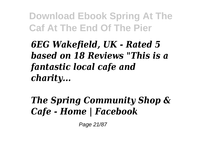*6EG Wakefield, UK - Rated 5 based on 18 Reviews "This is a fantastic local cafe and charity...*

# *The Spring Community Shop & Cafe - Home | Facebook*

Page 21/87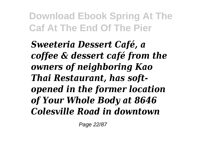*Sweeteria Dessert Café, a coffee & dessert café from the owners of neighboring Kao Thai Restaurant, has softopened in the former location of Your Whole Body at 8646 Colesville Road in downtown*

Page 22/87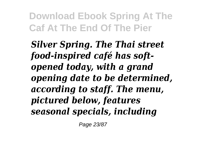*Silver Spring. The Thai street food-inspired café has softopened today, with a grand opening date to be determined, according to staff. The menu, pictured below, features seasonal specials, including*

Page 23/87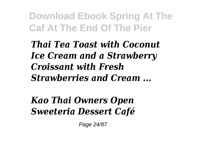*Thai Tea Toast with Coconut Ice Cream and a Strawberry Croissant with Fresh Strawberries and Cream ...*

*Kao Thai Owners Open Sweeteria Dessert Café*

Page 24/87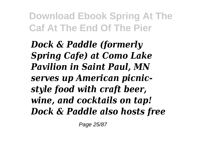*Dock & Paddle (formerly Spring Cafe) at Como Lake Pavilion in Saint Paul, MN serves up American picnicstyle food with craft beer, wine, and cocktails on tap! Dock & Paddle also hosts free*

Page 25/87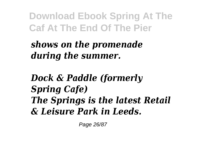#### *shows on the promenade during the summer.*

*Dock & Paddle (formerly Spring Cafe) The Springs is the latest Retail & Leisure Park in Leeds.*

Page 26/87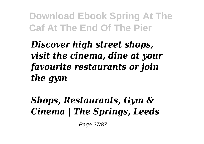*Discover high street shops, visit the cinema, dine at your favourite restaurants or join the gym*

# *Shops, Restaurants, Gym & Cinema | The Springs, Leeds*

Page 27/87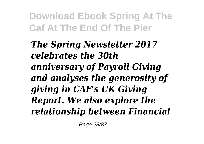*The Spring Newsletter 2017 celebrates the 30th anniversary of Payroll Giving and analyses the generosity of giving in CAF's UK Giving Report. We also explore the relationship between Financial*

Page 28/87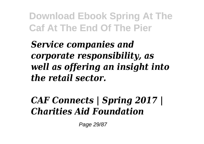*Service companies and corporate responsibility, as well as offering an insight into the retail sector.*

#### *CAF Connects | Spring 2017 | Charities Aid Foundation*

Page 29/87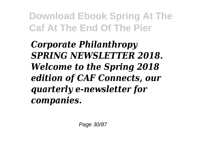*Corporate Philanthropy SPRING NEWSLETTER 2018. Welcome to the Spring 2018 edition of CAF Connects, our quarterly e-newsletter for companies.*

Page 30/87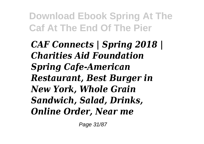*CAF Connects | Spring 2018 | Charities Aid Foundation Spring Cafe-American Restaurant, Best Burger in New York, Whole Grain Sandwich, Salad, Drinks, Online Order, Near me*

Page 31/87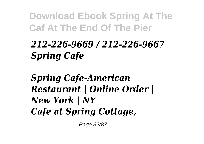# *212-226-9669 / 212-226-9667 Spring Cafe*

*Spring Cafe-American Restaurant | Online Order | New York | NY Cafe at Spring Cottage,*

Page 32/87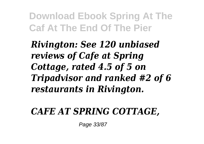*Rivington: See 120 unbiased reviews of Cafe at Spring Cottage, rated 4.5 of 5 on Tripadvisor and ranked #2 of 6 restaurants in Rivington.*

#### *CAFE AT SPRING COTTAGE,*

Page 33/87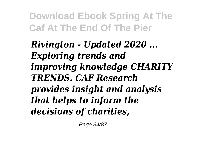*Rivington - Updated 2020 ... Exploring trends and improving knowledge CHARITY TRENDS. CAF Research provides insight and analysis that helps to inform the decisions of charities,*

Page 34/87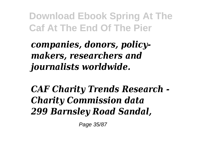# *companies, donors, policymakers, researchers and journalists worldwide.*

# *CAF Charity Trends Research - Charity Commission data 299 Barnsley Road Sandal,*

Page 35/87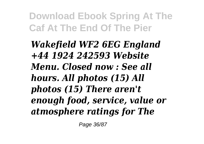*Wakefield WF2 6EG England +44 1924 242593 Website Menu. Closed now : See all hours. All photos (15) All photos (15) There aren't enough food, service, value or atmosphere ratings for The*

Page 36/87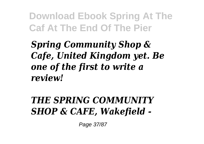*Spring Community Shop & Cafe, United Kingdom yet. Be one of the first to write a review!*

### *THE SPRING COMMUNITY SHOP & CAFE, Wakefield -*

Page 37/87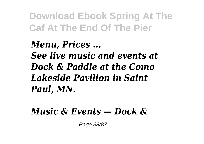*Menu, Prices ... See live music and events at Dock & Paddle at the Como Lakeside Pavilion in Saint Paul, MN.*

#### *Music & Events — Dock &*

Page 38/87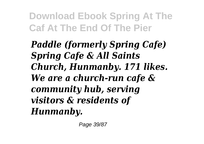*Paddle (formerly Spring Cafe) Spring Cafe & All Saints Church, Hunmanby. 171 likes. We are a church-run cafe & community hub, serving visitors & residents of Hunmanby.*

Page 39/87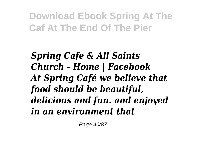*Spring Cafe & All Saints Church - Home | Facebook At Spring Café we believe that food should be beautiful, delicious and fun. and enjoyed in an environment that*

Page 40/87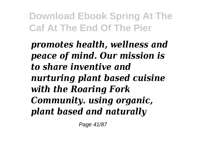*promotes health, wellness and peace of mind. Our mission is to share inventive and nurturing plant based cuisine with the Roaring Fork Community. using organic, plant based and naturally*

Page 41/87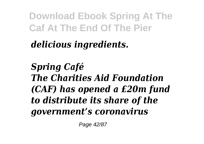# *delicious ingredients.*

*Spring Café The Charities Aid Foundation (CAF) has opened a £20m fund to distribute its share of the government's coronavirus*

Page 42/87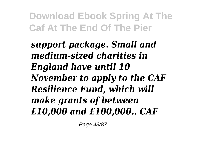*support package. Small and medium-sized charities in England have until 10 November to apply to the CAF Resilience Fund, which will make grants of between £10,000 and £100,000.. CAF*

Page 43/87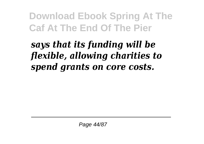# *says that its funding will be flexible, allowing charities to spend grants on core costs.*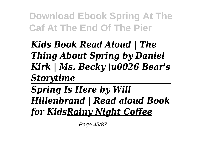*Kids Book Read Aloud | The Thing About Spring by Daniel Kirk | Ms. Becky \u0026 Bear's Storytime*

*Spring Is Here by Will Hillenbrand | Read aloud Book for KidsRainy Night Coffee*

Page 45/87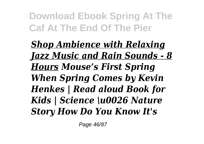*Shop Ambience with Relaxing Jazz Music and Rain Sounds - 8 Hours Mouse's First Spring When Spring Comes by Kevin Henkes | Read aloud Book for Kids | Science \u0026 Nature Story How Do You Know It's*

Page 46/87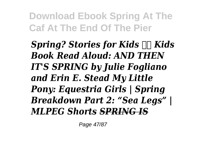*Spring? Stories for Kids*  $\Box \Box K$ *ids Book Read Aloud: AND THEN IT'S SPRING by Julie Fogliano and Erin E. Stead My Little Pony: Equestria Girls | Spring Breakdown Part 2: "Sea Legs" | MLPEG Shorts SPRING IS*

Page 47/87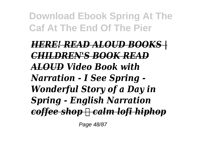### *HERE! READ ALOUD BOOKS | CHILDREN'S BOOK READ ALOUD Video Book with Narration - I See Spring - Wonderful Story of a Day in Spring - English Narration coffee shop ☕ calm lofi hiphop*

Page 48/87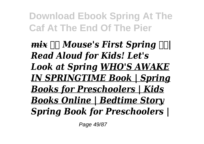*mix*  $\Box \Box$  *Mouse's First Spring*  $\Box \Box$ *Read Aloud for Kids! Let's Look at Spring WHO'S AWAKE IN SPRINGTIME Book | Spring Books for Preschoolers | Kids Books Online | Bedtime Story Spring Book for Preschoolers |*

Page 49/87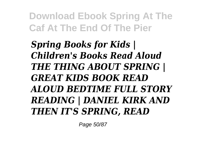*Spring Books for Kids | Children's Books Read Aloud THE THING ABOUT SPRING | GREAT KIDS BOOK READ ALOUD BEDTIME FULL STORY READING | DANIEL KIRK AND THEN IT'S SPRING, READ*

Page 50/87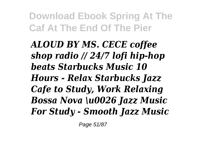*ALOUD BY MS. CECE coffee shop radio // 24/7 lofi hip-hop beats Starbucks Music 10 Hours - Relax Starbucks Jazz Cafe to Study, Work Relaxing Bossa Nova \u0026 Jazz Music For Study - Smooth Jazz Music*

Page 51/87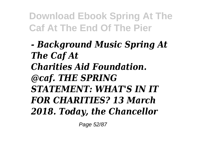### *- Background Music Spring At The Caf At Charities Aid Foundation. @caf. THE SPRING STATEMENT: WHAT'S IN IT FOR CHARITIES? 13 March 2018. Today, the Chancellor*

Page 52/87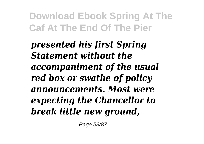*presented his first Spring Statement without the accompaniment of the usual red box or swathe of policy announcements. Most were expecting the Chancellor to break little new ground,*

Page 53/87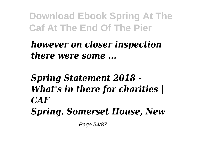### *however on closer inspection there were some ...*

# *Spring Statement 2018 - What's in there for charities | CAF Spring. Somerset House, New*

Page 54/87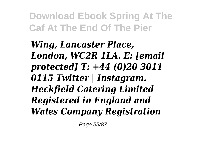*Wing, Lancaster Place, London, WC2R 1LA. E: [email protected] T: +44 (0)20 3011 0115 Twitter | Instagram. Heckfield Catering Limited Registered in England and Wales Company Registration*

Page 55/87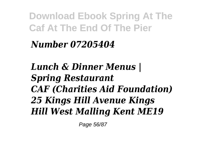# *Number 07205404*

# *Lunch & Dinner Menus | Spring Restaurant CAF (Charities Aid Foundation) 25 Kings Hill Avenue Kings Hill West Malling Kent ME19*

Page 56/87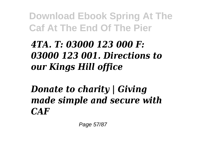# *4TA. T: 03000 123 000 F: 03000 123 001. Directions to our Kings Hill office*

# *Donate to charity | Giving made simple and secure with CAF*

Page 57/87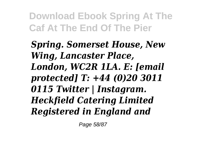*Spring. Somerset House, New Wing, Lancaster Place, London, WC2R 1LA. E: [email protected] T: +44 (0)20 3011 0115 Twitter | Instagram. Heckfield Catering Limited Registered in England and*

Page 58/87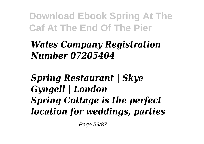## *Wales Company Registration Number 07205404*

*Spring Restaurant | Skye Gyngell | London Spring Cottage is the perfect location for weddings, parties*

Page 59/87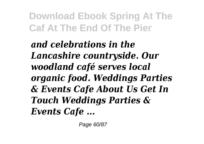*and celebrations in the Lancashire countryside. Our woodland café serves local organic food. Weddings Parties & Events Cafe About Us Get In Touch Weddings Parties & Events Cafe ...*

Page 60/87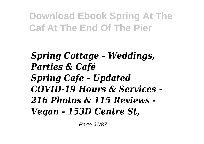*Spring Cottage - Weddings, Parties & Café Spring Cafe - Updated COVID-19 Hours & Services - 216 Photos & 115 Reviews - Vegan - 153D Centre St,*

Page 61/87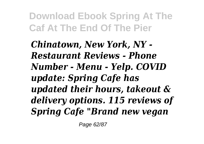*Chinatown, New York, NY - Restaurant Reviews - Phone Number - Menu - Yelp. COVID update: Spring Cafe has updated their hours, takeout & delivery options. 115 reviews of Spring Cafe "Brand new vegan*

Page 62/87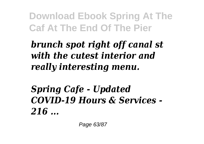# *brunch spot right off canal st with the cutest interior and really interesting menu.*

# *Spring Cafe - Updated COVID-19 Hours & Services - 216 ...*

Page 63/87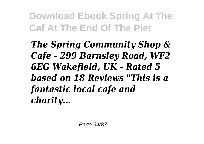*The Spring Community Shop & Cafe - 299 Barnsley Road, WF2 6EG Wakefield, UK - Rated 5 based on 18 Reviews "This is a fantastic local cafe and charity...*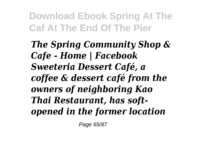*The Spring Community Shop & Cafe - Home | Facebook Sweeteria Dessert Café, a coffee & dessert café from the owners of neighboring Kao Thai Restaurant, has softopened in the former location*

Page 65/87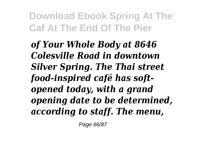*of Your Whole Body at 8646 Colesville Road in downtown Silver Spring. The Thai street food-inspired café has softopened today, with a grand opening date to be determined, according to staff. The menu,*

Page 66/87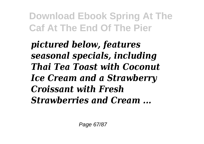*pictured below, features seasonal specials, including Thai Tea Toast with Coconut Ice Cream and a Strawberry Croissant with Fresh Strawberries and Cream ...*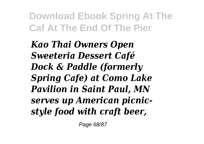*Kao Thai Owners Open Sweeteria Dessert Café Dock & Paddle (formerly Spring Cafe) at Como Lake Pavilion in Saint Paul, MN serves up American picnicstyle food with craft beer,*

Page 68/87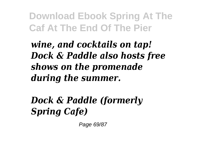*wine, and cocktails on tap! Dock & Paddle also hosts free shows on the promenade during the summer.*

*Dock & Paddle (formerly Spring Cafe)*

Page 69/87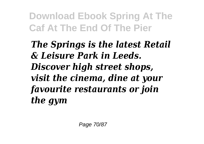*The Springs is the latest Retail & Leisure Park in Leeds. Discover high street shops, visit the cinema, dine at your favourite restaurants or join the gym*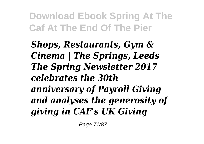*Shops, Restaurants, Gym & Cinema | The Springs, Leeds The Spring Newsletter 2017 celebrates the 30th anniversary of Payroll Giving and analyses the generosity of giving in CAF's UK Giving*

Page 71/87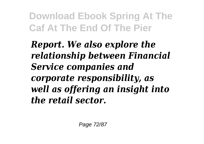*Report. We also explore the relationship between Financial Service companies and corporate responsibility, as well as offering an insight into the retail sector.*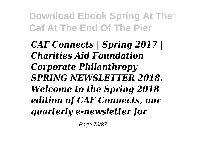*CAF Connects | Spring 2017 | Charities Aid Foundation Corporate Philanthropy SPRING NEWSLETTER 2018. Welcome to the Spring 2018 edition of CAF Connects, our quarterly e-newsletter for*

Page 73/87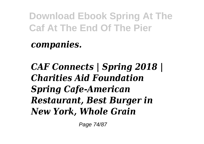*companies.*

*CAF Connects | Spring 2018 | Charities Aid Foundation Spring Cafe-American Restaurant, Best Burger in New York, Whole Grain*

Page 74/87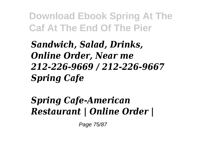*Sandwich, Salad, Drinks, Online Order, Near me 212-226-9669 / 212-226-9667 Spring Cafe*

## *Spring Cafe-American Restaurant | Online Order |*

Page 75/87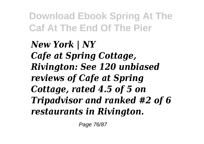*New York | NY Cafe at Spring Cottage, Rivington: See 120 unbiased reviews of Cafe at Spring Cottage, rated 4.5 of 5 on Tripadvisor and ranked #2 of 6 restaurants in Rivington.*

Page 76/87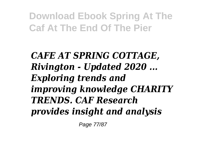*CAFE AT SPRING COTTAGE, Rivington - Updated 2020 ... Exploring trends and improving knowledge CHARITY TRENDS. CAF Research provides insight and analysis*

Page 77/87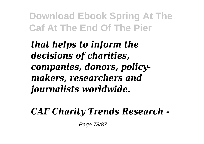*that helps to inform the decisions of charities, companies, donors, policymakers, researchers and journalists worldwide.*

#### *CAF Charity Trends Research -*

Page 78/87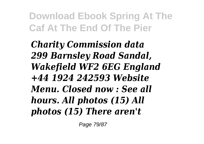*Charity Commission data 299 Barnsley Road Sandal, Wakefield WF2 6EG England +44 1924 242593 Website Menu. Closed now : See all hours. All photos (15) All photos (15) There aren't*

Page 79/87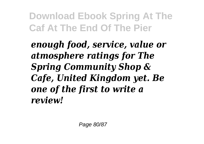*enough food, service, value or atmosphere ratings for The Spring Community Shop & Cafe, United Kingdom yet. Be one of the first to write a review!*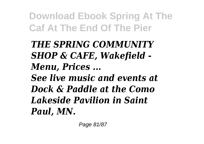## *THE SPRING COMMUNITY SHOP & CAFE, Wakefield - Menu, Prices ...*

*See live music and events at Dock & Paddle at the Como Lakeside Pavilion in Saint Paul, MN.*

Page 81/87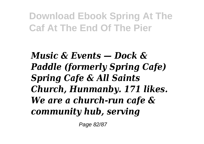*Music & Events — Dock & Paddle (formerly Spring Cafe) Spring Cafe & All Saints Church, Hunmanby. 171 likes. We are a church-run cafe & community hub, serving*

Page 82/87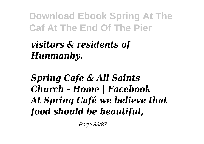## *visitors & residents of Hunmanby.*

*Spring Cafe & All Saints Church - Home | Facebook At Spring Café we believe that food should be beautiful,*

Page 83/87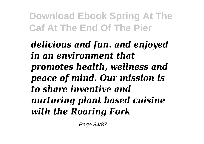*delicious and fun. and enjoyed in an environment that promotes health, wellness and peace of mind. Our mission is to share inventive and nurturing plant based cuisine with the Roaring Fork*

Page 84/87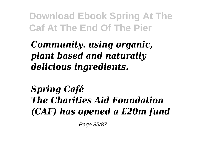*Community. using organic, plant based and naturally delicious ingredients.*

*Spring Café The Charities Aid Foundation (CAF) has opened a £20m fund*

Page 85/87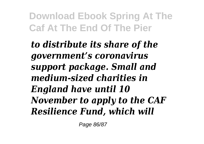*to distribute its share of the government's coronavirus support package. Small and medium-sized charities in England have until 10 November to apply to the CAF Resilience Fund, which will*

Page 86/87